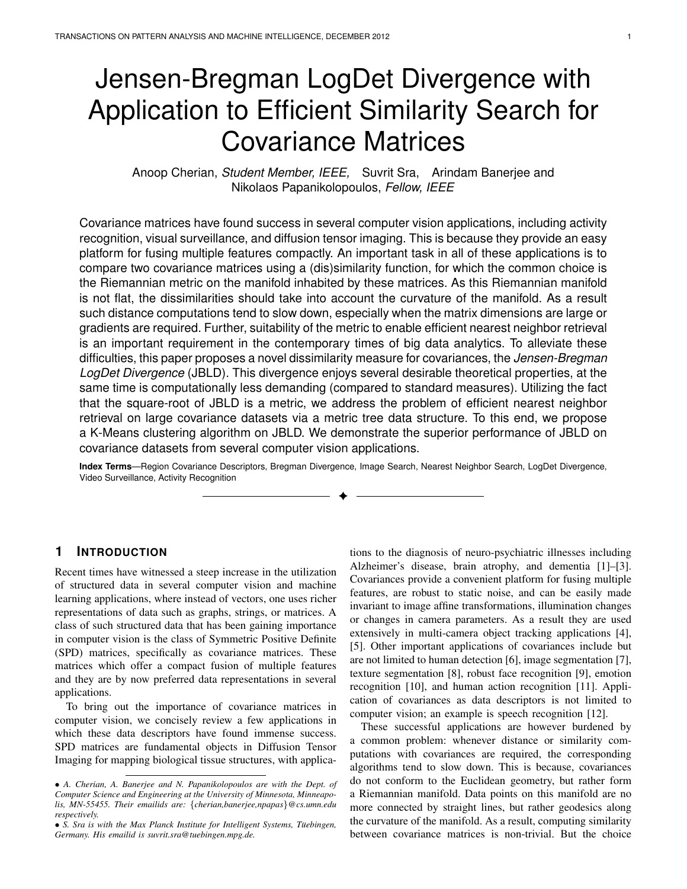# Jensen-Bregman LogDet Divergence with Application to Efficient Similarity Search for Covariance Matrices

Anoop Cherian, Student Member, IEEE, Suvrit Sra, Arindam Banerjee and Nikolaos Papanikolopoulos, Fellow, IEEE

Covariance matrices have found success in several computer vision applications, including activity recognition, visual surveillance, and diffusion tensor imaging. This is because they provide an easy platform for fusing multiple features compactly. An important task in all of these applications is to compare two covariance matrices using a (dis)similarity function, for which the common choice is the Riemannian metric on the manifold inhabited by these matrices. As this Riemannian manifold is not flat, the dissimilarities should take into account the curvature of the manifold. As a result such distance computations tend to slow down, especially when the matrix dimensions are large or gradients are required. Further, suitability of the metric to enable efficient nearest neighbor retrieval is an important requirement in the contemporary times of big data analytics. To alleviate these difficulties, this paper proposes a novel dissimilarity measure for covariances, the *Jensen-Bregman* LogDet Divergence (JBLD). This divergence enjoys several desirable theoretical properties, at the same time is computationally less demanding (compared to standard measures). Utilizing the fact that the square-root of JBLD is a metric, we address the problem of efficient nearest neighbor retrieval on large covariance datasets via a metric tree data structure. To this end, we propose a K-Means clustering algorithm on JBLD. We demonstrate the superior performance of JBLD on covariance datasets from several computer vision applications.

**Index Terms**—Region Covariance Descriptors, Bregman Divergence, Image Search, Nearest Neighbor Search, LogDet Divergence, Video Surveillance, Activity Recognition ✦

# **1 INTRODUCTION**

Recent times have witnessed a steep increase in the utilization of structured data in several computer vision and machine learning applications, where instead of vectors, one uses richer representations of data such as graphs, strings, or matrices. A class of such structured data that has been gaining importance in computer vision is the class of Symmetric Positive Definite (SPD) matrices, specifically as covariance matrices. These matrices which offer a compact fusion of multiple features and they are by now preferred data representations in several applications.

To bring out the importance of covariance matrices in computer vision, we concisely review a few applications in which these data descriptors have found immense success. SPD matrices are fundamental objects in Diffusion Tensor Imaging for mapping biological tissue structures, with applica-

tions to the diagnosis of neuro-psychiatric illnesses including Alzheimer's disease, brain atrophy, and dementia [1]–[3]. Covariances provide a convenient platform for fusing multiple features, are robust to static noise, and can be easily made invariant to image affine transformations, illumination changes or changes in camera parameters. As a result they are used extensively in multi-camera object tracking applications [4], [5]. Other important applications of covariances include but are not limited to human detection [6], image segmentation [7], texture segmentation [8], robust face recognition [9], emotion recognition [10], and human action recognition [11]. Application of covariances as data descriptors is not limited to computer vision; an example is speech recognition [12].

These successful applications are however burdened by a common problem: whenever distance or similarity computations with covariances are required, the corresponding algorithms tend to slow down. This is because, covariances do not conform to the Euclidean geometry, but rather form a Riemannian manifold. Data points on this manifold are no more connected by straight lines, but rather geodesics along the curvature of the manifold. As a result, computing similarity between covariance matrices is non-trivial. But the choice

<sup>•</sup> *A. Cherian, A. Banerjee and N. Papanikolopoulos are with the Dept. of Computer Science and Engineering at the University of Minnesota, Minneapolis, MN-55455. Their emailids are:* {*cherian,banerjee,npapas*}*@cs.umn.edu respectively.*

<sup>•</sup> *S. Sra is with the Max Planck Institute for Intelligent Systems, Tüebingen, Germany. His emailid is suvrit.sra@tuebingen.mpg.de.*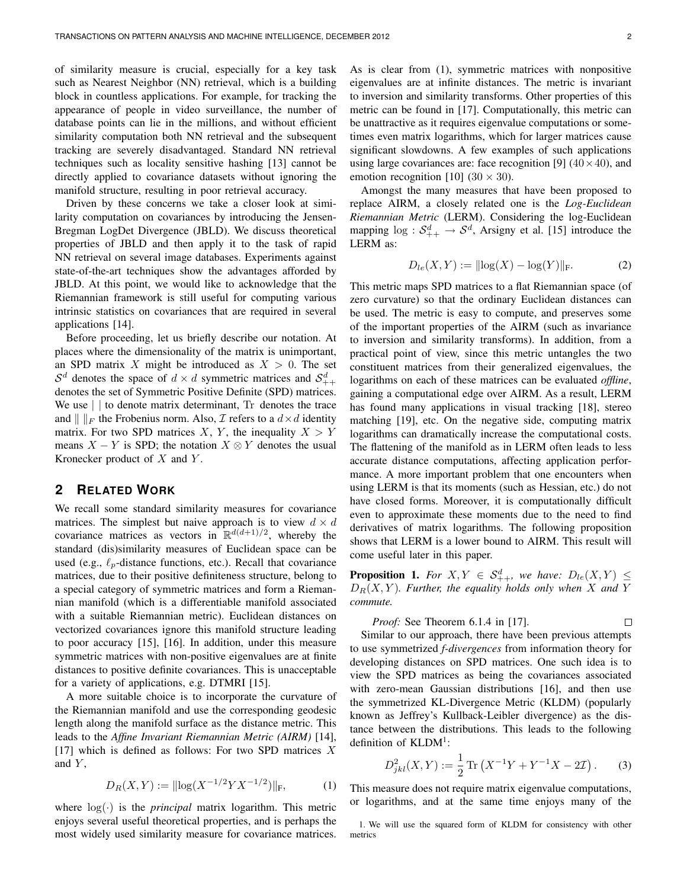of similarity measure is crucial, especially for a key task such as Nearest Neighbor (NN) retrieval, which is a building block in countless applications. For example, for tracking the appearance of people in video surveillance, the number of database points can lie in the millions, and without efficient similarity computation both NN retrieval and the subsequent tracking are severely disadvantaged. Standard NN retrieval techniques such as locality sensitive hashing [13] cannot be directly applied to covariance datasets without ignoring the manifold structure, resulting in poor retrieval accuracy.

Driven by these concerns we take a closer look at similarity computation on covariances by introducing the Jensen-Bregman LogDet Divergence (JBLD). We discuss theoretical properties of JBLD and then apply it to the task of rapid NN retrieval on several image databases. Experiments against state-of-the-art techniques show the advantages afforded by JBLD. At this point, we would like to acknowledge that the Riemannian framework is still useful for computing various intrinsic statistics on covariances that are required in several applications [14].

Before proceeding, let us briefly describe our notation. At places where the dimensionality of the matrix is unimportant, an SPD matrix X might be introduced as  $X > 0$ . The set  $S^d$  denotes the space of  $d \times d$  symmetric matrices and  $S^d_{++}$ denotes the set of Symmetric Positive Definite (SPD) matrices. We use  $\vert \vert$  to denote matrix determinant, Tr denotes the trace and  $\| \cdot \|_F$  the Frobenius norm. Also,  $\mathcal I$  refers to a  $d \times d$  identity matrix. For two SPD matrices X, Y, the inequality  $X > Y$ means  $X - Y$  is SPD; the notation  $X \otimes Y$  denotes the usual Kronecker product of  $X$  and  $Y$ .

# **2 RELATED WORK**

We recall some standard similarity measures for covariance matrices. The simplest but naive approach is to view  $d \times d$ covariance matrices as vectors in  $\mathbb{R}^{d(d+1)/2}$ , whereby the standard (dis)similarity measures of Euclidean space can be used (e.g.,  $\ell_p$ -distance functions, etc.). Recall that covariance matrices, due to their positive definiteness structure, belong to a special category of symmetric matrices and form a Riemannian manifold (which is a differentiable manifold associated with a suitable Riemannian metric). Euclidean distances on vectorized covariances ignore this manifold structure leading to poor accuracy [15], [16]. In addition, under this measure symmetric matrices with non-positive eigenvalues are at finite distances to positive definite covariances. This is unacceptable for a variety of applications, e.g. DTMRI [15].

A more suitable choice is to incorporate the curvature of the Riemannian manifold and use the corresponding geodesic length along the manifold surface as the distance metric. This leads to the *Affine Invariant Riemannian Metric (AIRM)* [14], [17] which is defined as follows: For two SPD matrices  $X$ and  $Y$ ,

$$
D_R(X, Y) := ||\log(X^{-1/2}YX^{-1/2})||_F,\tag{1}
$$

where  $log(·)$  is the *principal* matrix logarithm. This metric enjoys several useful theoretical properties, and is perhaps the most widely used similarity measure for covariance matrices. As is clear from (1), symmetric matrices with nonpositive eigenvalues are at infinite distances. The metric is invariant to inversion and similarity transforms. Other properties of this metric can be found in [17]. Computationally, this metric can be unattractive as it requires eigenvalue computations or sometimes even matrix logarithms, which for larger matrices cause significant slowdowns. A few examples of such applications using large covariances are: face recognition [9]  $(40 \times 40)$ , and emotion recognition [10]  $(30 \times 30)$ .

Amongst the many measures that have been proposed to replace AIRM, a closely related one is the *Log-Euclidean Riemannian Metric* (LERM). Considering the log-Euclidean mapping  $log : S^d_{++} \to S^d$ , Arsigny et al. [15] introduce the LERM as:

$$
D_{le}(X, Y) := ||\log(X) - \log(Y)||_F.
$$
 (2)

This metric maps SPD matrices to a flat Riemannian space (of zero curvature) so that the ordinary Euclidean distances can be used. The metric is easy to compute, and preserves some of the important properties of the AIRM (such as invariance to inversion and similarity transforms). In addition, from a practical point of view, since this metric untangles the two constituent matrices from their generalized eigenvalues, the logarithms on each of these matrices can be evaluated *offline*, gaining a computational edge over AIRM. As a result, LERM has found many applications in visual tracking [18], stereo matching [19], etc. On the negative side, computing matrix logarithms can dramatically increase the computational costs. The flattening of the manifold as in LERM often leads to less accurate distance computations, affecting application performance. A more important problem that one encounters when using LERM is that its moments (such as Hessian, etc.) do not have closed forms. Moreover, it is computationally difficult even to approximate these moments due to the need to find derivatives of matrix logarithms. The following proposition shows that LERM is a lower bound to AIRM. This result will come useful later in this paper.

**Proposition 1.** *For*  $X, Y \in S^d_{++}$ *, we have:*  $D_{le}(X, Y) \leq$  $D_R(X, Y)$ *. Further, the equality holds only when* X and Y *commute.*

*Proof:* See Theorem 6.1.4 in [17]. 
$$
\Box
$$

Similar to our approach, there have been previous attempts to use symmetrized *f-divergences* from information theory for developing distances on SPD matrices. One such idea is to view the SPD matrices as being the covariances associated with zero-mean Gaussian distributions [16], and then use the symmetrized KL-Divergence Metric (KLDM) (popularly known as Jeffrey's Kullback-Leibler divergence) as the distance between the distributions. This leads to the following definition of KLDM<sup>1</sup>:

$$
D_{jkl}^2(X,Y) := \frac{1}{2} \text{Tr} \left( X^{-1} Y + Y^{-1} X - 2 \mathcal{I} \right). \tag{3}
$$

This measure does not require matrix eigenvalue computations, or logarithms, and at the same time enjoys many of the

<sup>1.</sup> We will use the squared form of KLDM for consistency with other metrics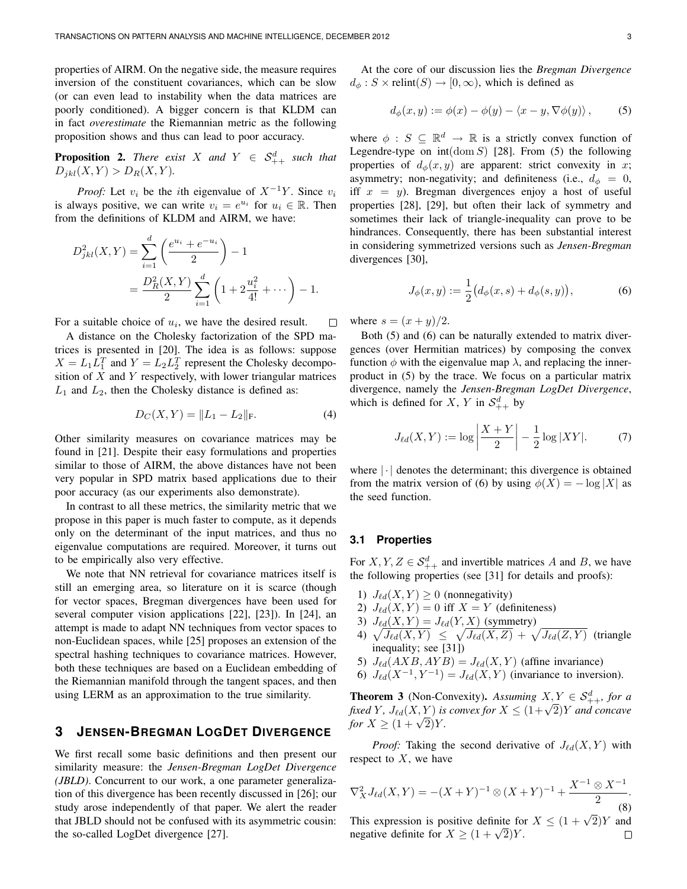properties of AIRM. On the negative side, the measure requires inversion of the constituent covariances, which can be slow (or can even lead to instability when the data matrices are poorly conditioned). A bigger concern is that KLDM can in fact *overestimate* the Riemannian metric as the following proposition shows and thus can lead to poor accuracy.

**Proposition 2.** *There exist* X *and*  $Y \in S^d_{++}$  *such that*  $D_{jkl}(X, Y) > D_R(X, Y)$ .

*Proof:* Let  $v_i$  be the *i*th eigenvalue of  $X^{-1}Y$ . Since  $v_i$ is always positive, we can write  $v_i = e^{u_i}$  for  $u_i \in \mathbb{R}$ . Then from the definitions of KLDM and AIRM, we have:

$$
D_{jkl}^{2}(X,Y) = \sum_{i=1}^{d} \left(\frac{e^{u_{i}} + e^{-u_{i}}}{2}\right) - 1
$$
  
= 
$$
\frac{D_{R}^{2}(X,Y)}{2} \sum_{i=1}^{d} \left(1 + 2\frac{u_{i}^{2}}{4!} + \cdots\right) - 1.
$$

For a suitable choice of  $u_i$ , we have the desired result. П

A distance on the Cholesky factorization of the SPD matrices is presented in [20]. The idea is as follows: suppose  $X = L_1 L_1^T$  and  $Y = L_2 L_2^T$  represent the Cholesky decomposition of  $X$  and  $Y$  respectively, with lower triangular matrices  $L_1$  and  $L_2$ , then the Cholesky distance is defined as:

$$
D_C(X, Y) = ||L_1 - L_2||_F.
$$
 (4)

Other similarity measures on covariance matrices may be found in [21]. Despite their easy formulations and properties similar to those of AIRM, the above distances have not been very popular in SPD matrix based applications due to their poor accuracy (as our experiments also demonstrate).

In contrast to all these metrics, the similarity metric that we propose in this paper is much faster to compute, as it depends only on the determinant of the input matrices, and thus no eigenvalue computations are required. Moreover, it turns out to be empirically also very effective.

We note that NN retrieval for covariance matrices itself is still an emerging area, so literature on it is scarce (though for vector spaces, Bregman divergences have been used for several computer vision applications [22], [23]). In [24], an attempt is made to adapt NN techniques from vector spaces to non-Euclidean spaces, while [25] proposes an extension of the spectral hashing techniques to covariance matrices. However, both these techniques are based on a Euclidean embedding of the Riemannian manifold through the tangent spaces, and then using LERM as an approximation to the true similarity.

## **3 JENSEN-BREGMAN LOGDET DIVERGENCE**

We first recall some basic definitions and then present our similarity measure: the *Jensen-Bregman LogDet Divergence (JBLD)*. Concurrent to our work, a one parameter generalization of this divergence has been recently discussed in [26]; our study arose independently of that paper. We alert the reader that JBLD should not be confused with its asymmetric cousin: the so-called LogDet divergence [27].

At the core of our discussion lies the *Bregman Divergence*  $d_{\phi}: S \times \text{relint}(S) \rightarrow [0, \infty)$ , which is defined as

$$
d_{\phi}(x, y) := \phi(x) - \phi(y) - \langle x - y, \nabla \phi(y) \rangle, \tag{5}
$$

where  $\phi : S \subseteq \mathbb{R}^d \to \mathbb{R}$  is a strictly convex function of Legendre-type on  $int(\text{dom } S)$  [28]. From (5) the following properties of  $d_{\phi}(x, y)$  are apparent: strict convexity in x; asymmetry; non-negativity; and definiteness (i.e.,  $d_{\phi} = 0$ , iff  $x = y$ ). Bregman divergences enjoy a host of useful properties [28], [29], but often their lack of symmetry and sometimes their lack of triangle-inequality can prove to be hindrances. Consequently, there has been substantial interest in considering symmetrized versions such as *Jensen-Bregman* divergences [30],

$$
J_{\phi}(x,y) := \frac{1}{2} \big( d_{\phi}(x,s) + d_{\phi}(s,y) \big), \tag{6}
$$

where  $s = (x + y)/2$ .

Both (5) and (6) can be naturally extended to matrix divergences (over Hermitian matrices) by composing the convex function  $\phi$  with the eigenvalue map  $\lambda$ , and replacing the innerproduct in (5) by the trace. We focus on a particular matrix divergence, namely the *Jensen-Bregman LogDet Divergence*, which is defined for X, Y in  $\mathcal{S}^d_{++}$  by

$$
J_{\ell d}(X, Y) := \log \left| \frac{X + Y}{2} \right| - \frac{1}{2} \log |XY|.
$$
 (7)

where  $|\cdot|$  denotes the determinant; this divergence is obtained from the matrix version of (6) by using  $\phi(X) = -\log |X|$  as the seed function.

#### **3.1 Properties**

For  $X, Y, Z \in S^d_{++}$  and invertible matrices A and B, we have the following properties (see [31] for details and proofs):

- 1)  $J_{\ell d}(X, Y) \geq 0$  (nonnegativity)
- 2)  $J_{\ell d}(X, Y) = 0$  iff  $X = Y$  (definiteness)
- 3)  $J_{\ell d}(X, Y) = J_{\ell d}(Y, X)$  (symmetry)
- 4)  $\sqrt{J_{\ell d}(X,Y)} \leq \sqrt{J_{\ell d}(X,Z)} + \sqrt{J_{\ell d}(Z,Y)}$  (triangle inequality; see [31])
- 5)  $J_{\ell d}(AXB, AYB) = J_{\ell d}(X, Y)$  (affine invariance)
- 6)  $J_{\ell d}(X^{-1}, Y^{-1}) = J_{\ell d}(X, Y)$  (invariance to inversion).

**Theorem 3** (Non-Convexity). *Assuming*  $X, Y \in S^d_{++}$ *, for a fixed Y*,  $J_{\ell d}(X, Y)$  *is convex for*  $X \leq (1 + \sqrt{2})Y$  *and concave for*  $X \geq (1 + \sqrt{2})Y$ .

*Proof:* Taking the second derivative of  $J_{\ell d}(X, Y)$  with respect to  $X$ , we have

$$
\nabla_X^2 J_{\ell d}(X, Y) = -(X+Y)^{-1} \otimes (X+Y)^{-1} + \frac{X^{-1} \otimes X^{-1}}{2}.
$$
  
This expression is positive definite for  $X \le (1+\sqrt{2})Y$  and  
negative definite for  $X \ge (1+\sqrt{2})Y$ .

 $\Box$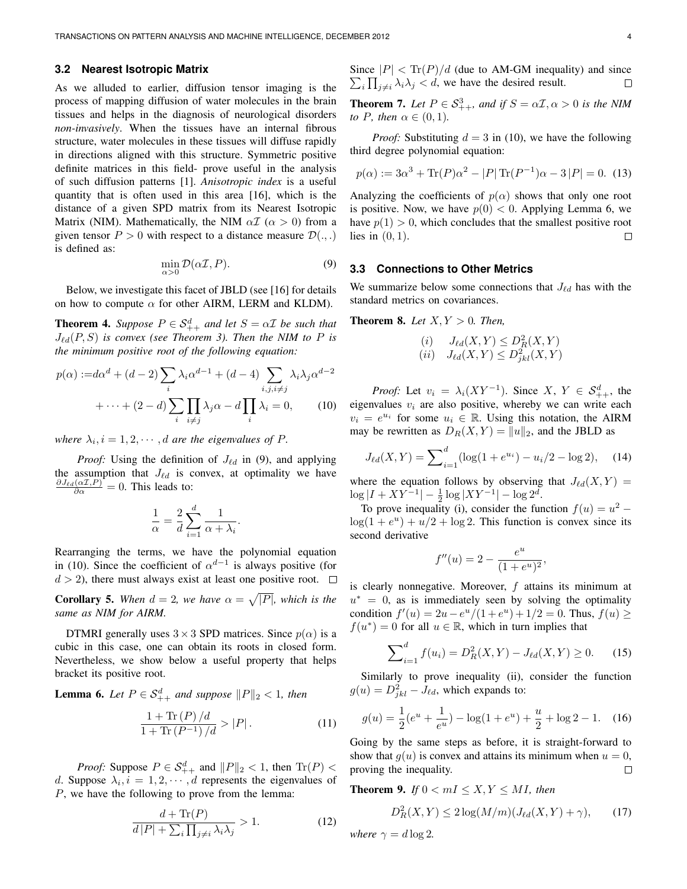#### **3.2 Nearest Isotropic Matrix**

As we alluded to earlier, diffusion tensor imaging is the process of mapping diffusion of water molecules in the brain tissues and helps in the diagnosis of neurological disorders *non-invasively*. When the tissues have an internal fibrous structure, water molecules in these tissues will diffuse rapidly in directions aligned with this structure. Symmetric positive definite matrices in this field- prove useful in the analysis of such diffusion patterns [1]. *Anisotropic index* is a useful quantity that is often used in this area [16], which is the distance of a given SPD matrix from its Nearest Isotropic Matrix (NIM). Mathematically, the NIM  $\alpha \mathcal{I}$  ( $\alpha > 0$ ) from a given tensor  $P > 0$  with respect to a distance measure  $\mathcal{D}(\cdot, \cdot)$ is defined as:

$$
\min_{\alpha>0} \mathcal{D}(\alpha \mathcal{I}, P). \tag{9}
$$

Below, we investigate this facet of JBLD (see [16] for details on how to compute  $\alpha$  for other AIRM, LERM and KLDM).

**Theorem 4.** *Suppose*  $P \in S_{++}^d$  *and let*  $S = \alpha \mathcal{I}$  *be such that*  $J_{\ell d}(P, S)$  *is convex (see Theorem 3). Then the NIM to*  $P$  *is the minimum positive root of the following equation:*

$$
p(\alpha) := d\alpha^d + (d-2) \sum_i \lambda_i \alpha^{d-1} + (d-4) \sum_{i,j,i \neq j} \lambda_i \lambda_j \alpha^{d-2} + \dots + (2-d) \sum_i \prod_{i \neq j} \lambda_j \alpha - d \prod_i \lambda_i = 0,
$$
 (10)

where  $\lambda_i, i = 1, 2, \dots, d$  are the eigenvalues of P.

*Proof:* Using the definition of  $J_{\ell d}$  in (9), and applying the assumption that  $J_{\ell d}$  is convex, at optimality we have  $\frac{\partial J_{\ell d}(\alpha \mathcal{I}, P)}{\partial \alpha} = 0$ . This leads to:

$$
\frac{1}{\alpha} = \frac{2}{d} \sum_{i=1}^{d} \frac{1}{\alpha + \lambda_i}.
$$

Rearranging the terms, we have the polynomial equation in (10). Since the coefficient of  $\alpha^{d-1}$  is always positive (for  $d > 2$ ), there must always exist at least one positive root.  $\Box$ 

**Corollary 5.** When  $d = 2$ , we have  $\alpha = \sqrt{|P|}$ , which is the *same as NIM for AIRM.*

DTMRI generally uses  $3 \times 3$  SPD matrices. Since  $p(\alpha)$  is a cubic in this case, one can obtain its roots in closed form. Nevertheless, we show below a useful property that helps bracket its positive root.

**Lemma 6.** Let  $P \in \mathcal{S}_{++}^d$  and suppose  $||P||_2 < 1$ , then

$$
\frac{1+\text{Tr}(P)/d}{1+\text{Tr}(P^{-1})/d} > |P|.
$$
 (11)

*Proof:* Suppose  $P \in \mathcal{S}_{++}^d$  and  $||P||_2 < 1$ , then  $\text{Tr}(P) <$ d. Suppose  $\lambda_i$ ,  $i = 1, 2, \dots, d$  represents the eigenvalues of P, we have the following to prove from the lemma:

$$
\frac{d + \text{Tr}(P)}{d|P| + \sum_{i} \prod_{j \neq i} \lambda_i \lambda_j} > 1.
$$
 (12)

Since  $|P| < \text{Tr}(P)/d$  (due to AM-GM inequality) and since  $\sum_i \prod_{j \neq i} \lambda_i \lambda_j < d$ , we have the desired result.

**Theorem 7.** *Let*  $P \in S^3_{++}$ *, and if*  $S = \alpha \mathcal{I}, \alpha > 0$  *is the NIM to P, then*  $\alpha \in (0,1)$ *.* 

*Proof:* Substituting  $d = 3$  in (10), we have the following third degree polynomial equation:

$$
p(\alpha) := 3\alpha^3 + \text{Tr}(P)\alpha^2 - |P| \text{Tr}(P^{-1})\alpha - 3|P| = 0.
$$
 (13)

Analyzing the coefficients of  $p(\alpha)$  shows that only one root is positive. Now, we have  $p(0) < 0$ . Applying Lemma 6, we have  $p(1) > 0$ , which concludes that the smallest positive root lies in  $(0, 1)$ .  $\Box$ 

#### **3.3 Connections to Other Metrics**

We summarize below some connections that  $J_{\ell d}$  has with the standard metrics on covariances.

**Theorem 8.** *Let*  $X, Y > 0$ *. Then,* 

$$
\begin{array}{ll} (i) & J_{\ell d}(X,Y) \le D_R^2(X,Y) \\ (ii) & J_{\ell d}(X,Y) \le D_{jkl}^2(X,Y) \end{array}
$$

*Proof:* Let  $v_i = \lambda_i (XY^{-1})$ . Since  $X, Y \in S^d_{++}$ , the eigenvalues  $v_i$  are also positive, whereby we can write each  $v_i = e^{u_i}$  for some  $u_i \in \mathbb{R}$ . Using this notation, the AIRM may be rewritten as  $D_R(X, Y) = ||u||_2$ , and the JBLD as

$$
J_{\ell d}(X, Y) = \sum_{i=1}^{d} (\log(1 + e^{u_i}) - u_i/2 - \log 2), \quad (14)
$$

where the equation follows by observing that  $J_{\ell d}(X, Y) =$  $\log |I + XY^{-1}| - \frac{1}{2} \log |XY^{-1}| - \log 2^d$ .

To prove inequality (i), consider the function  $f(u) = u^2$  –  $log(1 + e^u) + u/2 + log 2$ . This function is convex since its second derivative

$$
f''(u) = 2 - \frac{e^u}{(1 + e^u)^2},
$$

is clearly nonnegative. Moreover,  $f$  attains its minimum at  $u^* = 0$ , as is immediately seen by solving the optimality condition  $f'(u) = 2u - e^u/(1 + e^u) + 1/2 = 0$ . Thus,  $f(u) \ge$  $f(u^*) = 0$  for all  $u \in \mathbb{R}$ , which in turn implies that

$$
\sum_{i=1}^{d} f(u_i) = D_R^2(X, Y) - J_{\ell d}(X, Y) \ge 0.
$$
 (15)

Similarly to prove inequality (ii), consider the function  $g(u) = D_{jkl}^2 - J_{\ell d}$ , which expands to:

$$
g(u) = \frac{1}{2}(e^u + \frac{1}{e^u}) - \log(1 + e^u) + \frac{u}{2} + \log 2 - 1.
$$
 (16)

Going by the same steps as before, it is straight-forward to show that  $q(u)$  is convex and attains its minimum when  $u = 0$ , proving the inequality.  $\Box$ 

**Theorem 9.** *If*  $0 < mI \leq X, Y \leq MI$ , *then* 

$$
D_R^2(X,Y) \le 2\log(M/m)(J_{\ell d}(X,Y) + \gamma),\qquad(17)
$$

*where*  $\gamma = d \log 2$ *.*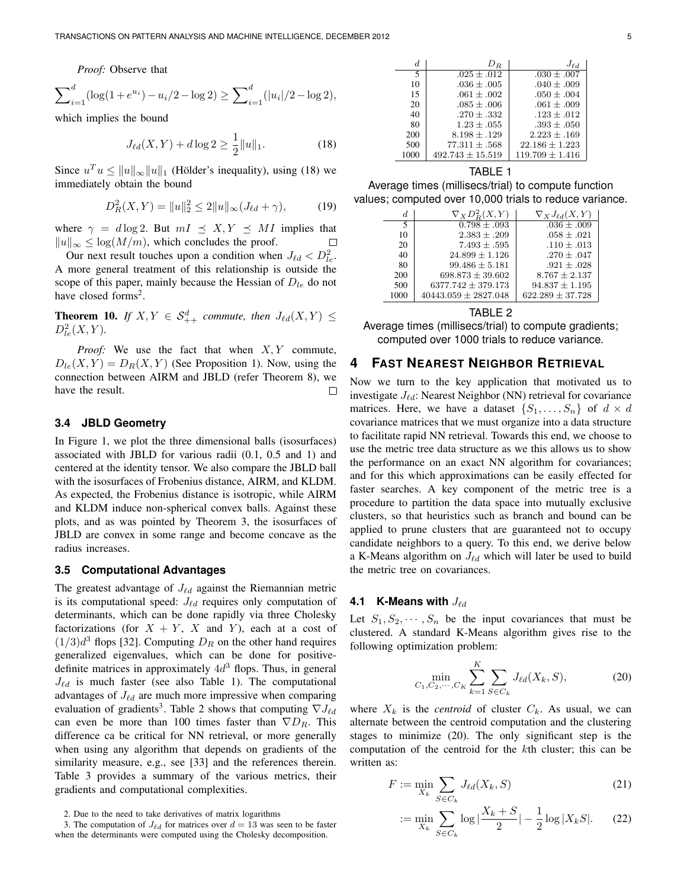*Proof:* Observe that

$$
\sum_{i=1}^{d} (\log(1 + e^{u_i}) - u_i/2 - \log 2) \ge \sum_{i=1}^{d} (|u_i|/2 - \log 2),
$$

which implies the bound

$$
J_{\ell d}(X, Y) + d \log 2 \ge \frac{1}{2} ||u||_1.
$$
 (18)

Since  $u^T u \le ||u||_{\infty} ||u||_1$  (Hölder's inequality), using (18) we immediately obtain the bound

$$
D_R^2(X, Y) = ||u||_2^2 \le 2||u||_{\infty} (J_{\ell d} + \gamma), \tag{19}
$$

where  $\gamma = d \log 2$ . But  $mI \preceq X, Y \preceq MI$  implies that  $||u||_{\infty} < \log(M/m)$ , which concludes the proof.  $||u||_{\infty} \leq \log(M/m)$ , which concludes the proof.

Our next result touches upon a condition when  $J_{\ell d} < D_{le}^2$ . A more general treatment of this relationship is outside the scope of this paper, mainly because the Hessian of  $D_{le}$  do not have closed forms<sup>2</sup>.

**Theorem 10.** *If*  $X, Y \in S^d_{++}$  *commute, then*  $J_{\ell d}(X, Y) \leq$  $D_{le}^{2}(X, Y)$ .

*Proof:* We use the fact that when  $X, Y$  commute,  $D_{le}(X, Y) = D_{R}(X, Y)$  (See Proposition 1). Now, using the connection between AIRM and JBLD (refer Theorem 8), we have the result.  $\Box$ 

#### **3.4 JBLD Geometry**

In Figure 1, we plot the three dimensional balls (isosurfaces) associated with JBLD for various radii (0.1, 0.5 and 1) and centered at the identity tensor. We also compare the JBLD ball with the isosurfaces of Frobenius distance, AIRM, and KLDM. As expected, the Frobenius distance is isotropic, while AIRM and KLDM induce non-spherical convex balls. Against these plots, and as was pointed by Theorem 3, the isosurfaces of JBLD are convex in some range and become concave as the radius increases.

#### **3.5 Computational Advantages**

The greatest advantage of  $J_{\ell d}$  against the Riemannian metric is its computational speed:  $J_{\ell d}$  requires only computation of determinants, which can be done rapidly via three Cholesky factorizations (for  $X + Y$ , X and Y), each at a cost of  $(1/3)d^3$  flops [32]. Computing  $D_R$  on the other hand requires generalized eigenvalues, which can be done for positivedefinite matrices in approximately  $4d<sup>3</sup>$  flops. Thus, in general  $J_{\ell d}$  is much faster (see also Table 1). The computational advantages of  $J_{\ell d}$  are much more impressive when comparing evaluation of gradients<sup>3</sup>. Table 2 shows that computing  $\nabla J_{\ell d}$ can even be more than 100 times faster than  $\nabla D_R$ . This difference ca be critical for NN retrieval, or more generally when using any algorithm that depends on gradients of the similarity measure, e.g., see [33] and the references therein. Table 3 provides a summary of the various metrics, their gradients and computational complexities.

| d.   | $D_R$                | $J_{\ell d}$        |
|------|----------------------|---------------------|
| 5    | $.025 + .012$        | $.030 \pm .007$     |
| 10   | $.036 \pm .005$      | $.040 \pm .009$     |
| 15   | $.061 \pm .002$      | $.050 \pm .004$     |
| 20   | $.085 \pm .006$      | $.061 + .009$       |
| 40   | $.270 + .332$        | $.123 \pm .012$     |
| 80   | $1.23 + .055$        | $.393 + .050$       |
| 200  | $8.198 \pm .129$     | $2.223 + .169$      |
| 500  | $77.311 + .568$      | $22.186 + 1.223$    |
| 1000 | $492.743 \pm 15.519$ | $119.709 \pm 1.416$ |

## TABLE 1

Average times (millisecs/trial) to compute function values; computed over 10,000 trials to reduce variance.

| d.   | $\nabla_X D_B^2(X,Y)$       | $\nabla_X J_{\ell d}(X, Y)$ |
|------|-----------------------------|-----------------------------|
| 5    | $\overline{0.798} \pm .093$ | $.036 \pm .009$             |
| 10   | $2.383 \pm .209$            | $.058 \pm .021$             |
| 20   | $7.493 \pm .595$            | $.110 \pm .013$             |
| 40   | $24.899 \pm 1.126$          | $.270 \pm .047$             |
| 80   | $99.486 \pm 5.181$          | $.921 \pm .028$             |
| 200  | $698.873 \pm 39.602$        | $8.767 \pm 2.137$           |
| 500  | $6377.742 \pm 379.173$      | $94.837 \pm 1.195$          |
| 1000 | $40443.059 \pm 2827.048$    | $622.289 \pm 37.728$        |
|      |                             |                             |

#### TABLE 2

Average times (millisecs/trial) to compute gradients; computed over 1000 trials to reduce variance.

# **4 FAST NEAREST NEIGHBOR RETRIEVAL**

Now we turn to the key application that motivated us to investigate  $J_{\ell d}$ : Nearest Neighbor (NN) retrieval for covariance matrices. Here, we have a dataset  $\{S_1, \ldots, S_n\}$  of  $d \times d$ covariance matrices that we must organize into a data structure to facilitate rapid NN retrieval. Towards this end, we choose to use the metric tree data structure as we this allows us to show the performance on an exact NN algorithm for covariances; and for this which approximations can be easily effected for faster searches. A key component of the metric tree is a procedure to partition the data space into mutually exclusive clusters, so that heuristics such as branch and bound can be applied to prune clusters that are guaranteed not to occupy candidate neighbors to a query. To this end, we derive below a K-Means algorithm on  $J_{\ell d}$  which will later be used to build the metric tree on covariances.

#### **4.1 K-Means with**  $J_{\ell d}$

Let  $S_1, S_2, \dots, S_n$  be the input covariances that must be clustered. A standard K-Means algorithm gives rise to the following optimization problem:

$$
\min_{C_1, C_2, \cdots, C_K} \sum_{k=1}^K \sum_{S \in C_k} J_{\ell d}(X_k, S),
$$
 (20)

where  $X_k$  is the *centroid* of cluster  $C_k$ . As usual, we can alternate between the centroid computation and the clustering stages to minimize (20). The only significant step is the computation of the centroid for the kth cluster; this can be written as:

$$
F := \min_{X_k} \sum_{S \in C_k} J_{\ell d}(X_k, S) \tag{21}
$$

$$
:= \min_{X_k} \sum_{S \in C_k} \log \left| \frac{X_k + S}{2} \right| - \frac{1}{2} \log |X_k S|. \tag{22}
$$

<sup>2.</sup> Due to the need to take derivatives of matrix logarithms

<sup>3.</sup> The computation of  $J_{\ell d}$  for matrices over  $d = 13$  was seen to be faster when the determinants were computed using the Cholesky decomposition.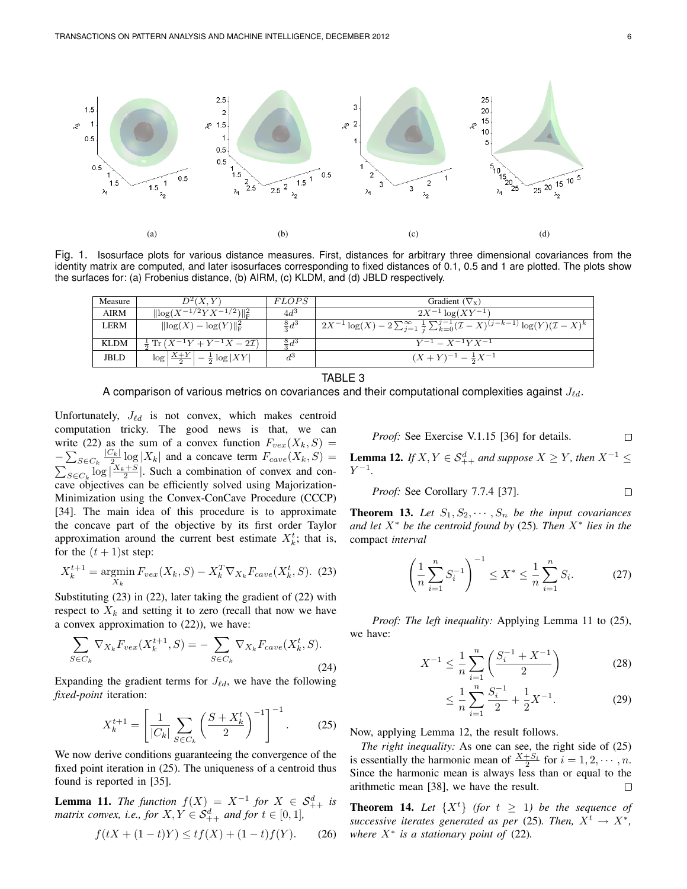

Fig. 1. Isosurface plots for various distance measures. First, distances for arbitrary three dimensional covariances from the identity matrix are computed, and later isosurfaces corresponding to fixed distances of 0.1, 0.5 and 1 are plotted. The plots show the surfaces for: (a) Frobenius distance, (b) AIRM, (c) KLDM, and (d) JBLD respectively.

| Measure     | $D^2(X,Y)$                                                  | <i>FLOPS</i>   | Gradient $(\nabla_x)$                                                                                      |
|-------------|-------------------------------------------------------------|----------------|------------------------------------------------------------------------------------------------------------|
| AIRM        | $\sqrt{\ \log(X^{-1/2}YX^{-1/2})\ _{\rm F}^2}$              | 4d3            | $2X^{-1} \log(XY^{-1})$                                                                                    |
| LERM        | $\ \log(X) - \log(Y)\ _{\mathcal{F}}^2$                     | $rac{8}{5}d^3$ | $1/2X^{-1} \log(X) - 2 \sum_{j=1}^{\infty} \frac{1}{j} \sum_{k=0}^{j-1} (X-X)^{(j-k-1)} \log(Y) (X-X)^{k}$ |
|             |                                                             |                |                                                                                                            |
| <b>KLDM</b> | $\frac{1}{2} \text{Tr} (X^{-1}Y + Y^{-1}X - 2\mathcal{I})$  | $rac{8}{3}d^3$ | $Y^{-1} = X^{-1}YX^{-1}$                                                                                   |
| JBLD        | $\log \left  \frac{X+Y}{2} \right  - \frac{1}{2} \log  XY $ | $d^3$          | $(X+Y)^{-1} - \frac{1}{2}X^{-1}$                                                                           |

#### TABLE 3

A comparison of various metrics on covariances and their computational complexities against  $J_{\ell d}$ .

Unfortunately,  $J_{\ell d}$  is not convex, which makes centroid computation tricky. The good news is that, we can write (22) as the sum of a convex function  $F_{vex}(X_k, S) =$  $-\sum_{S\in C_k}\frac{|C_k|}{2}$  $\frac{Z_{k}}{Z_{V}} \log |X_{k}|$  and a concave term  $F_{cave}(X_{k}, S) =$  $\sum_{S \in C_k} \log \left| \frac{X_k + S}{2} \right|$ . Such a combination of convex and concave objectives can be efficiently solved using Majorization-Minimization using the Convex-ConCave Procedure (CCCP) [34]. The main idea of this procedure is to approximate the concave part of the objective by its first order Taylor approximation around the current best estimate  $X_k^t$ ; that is, for the  $(t + 1)$ st step:

$$
X_k^{t+1} = \underset{X_k}{\text{argmin}} \, F_{vex}(X_k, S) - X_k^T \nabla_{X_k} F_{cave}(X_k^t, S). \tag{23}
$$

Substituting (23) in (22), later taking the gradient of (22) with respect to  $X_k$  and setting it to zero (recall that now we have a convex approximation to (22)), we have:

$$
\sum_{S \in C_k} \nabla_{X_k} F_{vex}(X_k^{t+1}, S) = -\sum_{S \in C_k} \nabla_{X_k} F_{cave}(X_k^t, S).
$$
\n(24)

Expanding the gradient terms for  $J_{\ell d}$ , we have the following *fixed-point* iteration:

$$
X_k^{t+1} = \left[ \frac{1}{|C_k|} \sum_{S \in C_k} \left( \frac{S + X_k^t}{2} \right)^{-1} \right]^{-1}.
$$
 (25)

We now derive conditions guaranteeing the convergence of the fixed point iteration in (25). The uniqueness of a centroid thus found is reported in [35].

**Lemma 11.** *The function*  $f(X) = X^{-1}$  *for*  $X \in S_{++}^d$  *is matrix convex, i.e., for*  $X, Y \in S^d_{++}$  *and for*  $t \in [0,1]$ *,* 

$$
f(tX + (1 - t)Y) \le tf(X) + (1 - t)f(Y). \tag{26}
$$

*Proof:* See Exercise V.1.15 [36] for details. 
$$
\Box
$$

**Lemma 12.** *If*  $X, Y \in S^d_{++}$  *and suppose*  $X \geq Y$ *, then*  $X^{-1} \leq$  $Y^{-1}$ .

*Proof:* See Corollary 7.7.4 [37]. 
$$
\Box
$$

**Theorem 13.** Let  $S_1, S_2, \cdots, S_n$  be the input covariances *and let* X<sup>∗</sup> *be the centroid found by* (25)*. Then* X<sup>∗</sup> *lies in the* compact *interval*

$$
\left(\frac{1}{n}\sum_{i=1}^{n}S_{i}^{-1}\right)^{-1} \leq X^{*} \leq \frac{1}{n}\sum_{i=1}^{n}S_{i}.
$$
 (27)

*Proof: The left inequality:* Applying Lemma 11 to (25), we have:

$$
X^{-1} \le \frac{1}{n} \sum_{i=1}^{n} \left( \frac{S_i^{-1} + X^{-1}}{2} \right)
$$
 (28)

$$
\leq \frac{1}{n} \sum_{i=1}^{n} \frac{S_i^{-1}}{2} + \frac{1}{2} X^{-1}.
$$
 (29)

Now, applying Lemma 12, the result follows.

*The right inequality:* As one can see, the right side of (25) is essentially the harmonic mean of  $\frac{X+S_i}{2}$  for  $i=1,2,\dots, n$ . Since the harmonic mean is always less than or equal to the arithmetic mean [38], we have the result. П

**Theorem 14.** Let  $\{X^t\}$  (for  $t \geq 1$ ) be the sequence of *successive iterates generated as per* (25)*. Then,*  $X^t \rightarrow X^*$ , *where*  $X^*$  *is a stationary point of* (22).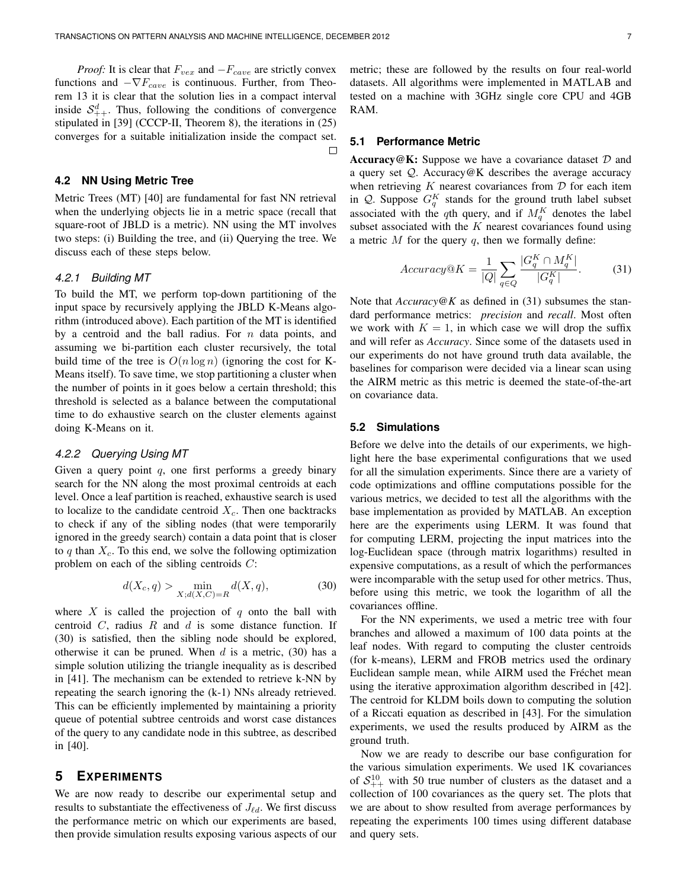*Proof:* It is clear that  $F_{vex}$  and  $-F_{cave}$  are strictly convex functions and  $-\nabla F_{cave}$  is continuous. Further, from Theorem 13 it is clear that the solution lies in a compact interval inside  $S_{++}^d$ . Thus, following the conditions of convergence stipulated in [39] (CCCP-II, Theorem 8), the iterations in (25) converges for a suitable initialization inside the compact set.

#### **4.2 NN Using Metric Tree**

Metric Trees (MT) [40] are fundamental for fast NN retrieval when the underlying objects lie in a metric space (recall that square-root of JBLD is a metric). NN using the MT involves two steps: (i) Building the tree, and (ii) Querying the tree. We discuss each of these steps below.

## 4.2.1 Building MT

To build the MT, we perform top-down partitioning of the input space by recursively applying the JBLD K-Means algorithm (introduced above). Each partition of the MT is identified by a centroid and the ball radius. For  $n$  data points, and assuming we bi-partition each cluster recursively, the total build time of the tree is  $O(n \log n)$  (ignoring the cost for K-Means itself). To save time, we stop partitioning a cluster when the number of points in it goes below a certain threshold; this threshold is selected as a balance between the computational time to do exhaustive search on the cluster elements against doing K-Means on it.

## 4.2.2 Querying Using MT

Given a query point  $q$ , one first performs a greedy binary search for the NN along the most proximal centroids at each level. Once a leaf partition is reached, exhaustive search is used to localize to the candidate centroid  $X_c$ . Then one backtracks to check if any of the sibling nodes (that were temporarily ignored in the greedy search) contain a data point that is closer to q than  $X_c$ . To this end, we solve the following optimization problem on each of the sibling centroids C:

$$
d(X_c, q) > \min_{X; d(X, C) = R} d(X, q),
$$
\n(30)

where  $X$  is called the projection of  $q$  onto the ball with centroid  $C$ , radius  $R$  and  $d$  is some distance function. If (30) is satisfied, then the sibling node should be explored, otherwise it can be pruned. When  $d$  is a metric, (30) has a simple solution utilizing the triangle inequality as is described in [41]. The mechanism can be extended to retrieve k-NN by repeating the search ignoring the (k-1) NNs already retrieved. This can be efficiently implemented by maintaining a priority queue of potential subtree centroids and worst case distances of the query to any candidate node in this subtree, as described in [40].

## **5 EXPERIMENTS**

We are now ready to describe our experimental setup and results to substantiate the effectiveness of  $J_{\ell d}$ . We first discuss the performance metric on which our experiments are based, then provide simulation results exposing various aspects of our metric; these are followed by the results on four real-world datasets. All algorithms were implemented in MATLAB and tested on a machine with 3GHz single core CPU and 4GB RAM.

#### **5.1 Performance Metric**

□

**Accuracy**  $\mathbb{Q}$  **K:** Suppose we have a covariance dataset  $\mathcal{D}$  and a query set Q. Accuracy@K describes the average accuracy when retrieving  $K$  nearest covariances from  $D$  for each item in Q. Suppose  $G_q^K$  stands for the ground truth label subset associated with the qth query, and if  $M_q^K$  denotes the label subset associated with the  $K$  nearest covariances found using a metric  $M$  for the query  $q$ , then we formally define:

$$
Accuracy@K = \frac{1}{|Q|} \sum_{q \in Q} \frac{|G_q^K \cap M_q^K|}{|G_q^K|}. \tag{31}
$$

Note that *Accuracy@K* as defined in (31) subsumes the standard performance metrics: *precision* and *recall*. Most often we work with  $K = 1$ , in which case we will drop the suffix and will refer as *Accuracy*. Since some of the datasets used in our experiments do not have ground truth data available, the baselines for comparison were decided via a linear scan using the AIRM metric as this metric is deemed the state-of-the-art on covariance data.

#### **5.2 Simulations**

Before we delve into the details of our experiments, we highlight here the base experimental configurations that we used for all the simulation experiments. Since there are a variety of code optimizations and offline computations possible for the various metrics, we decided to test all the algorithms with the base implementation as provided by MATLAB. An exception here are the experiments using LERM. It was found that for computing LERM, projecting the input matrices into the log-Euclidean space (through matrix logarithms) resulted in expensive computations, as a result of which the performances were incomparable with the setup used for other metrics. Thus, before using this metric, we took the logarithm of all the covariances offline.

For the NN experiments, we used a metric tree with four branches and allowed a maximum of 100 data points at the leaf nodes. With regard to computing the cluster centroids (for k-means), LERM and FROB metrics used the ordinary Euclidean sample mean, while AIRM used the Fréchet mean using the iterative approximation algorithm described in [42]. The centroid for KLDM boils down to computing the solution of a Riccati equation as described in [43]. For the simulation experiments, we used the results produced by AIRM as the ground truth.

Now we are ready to describe our base configuration for the various simulation experiments. We used 1K covariances of  $S_{++}^{10}$  with 50 true number of clusters as the dataset and a collection of 100 covariances as the query set. The plots that we are about to show resulted from average performances by repeating the experiments 100 times using different database and query sets.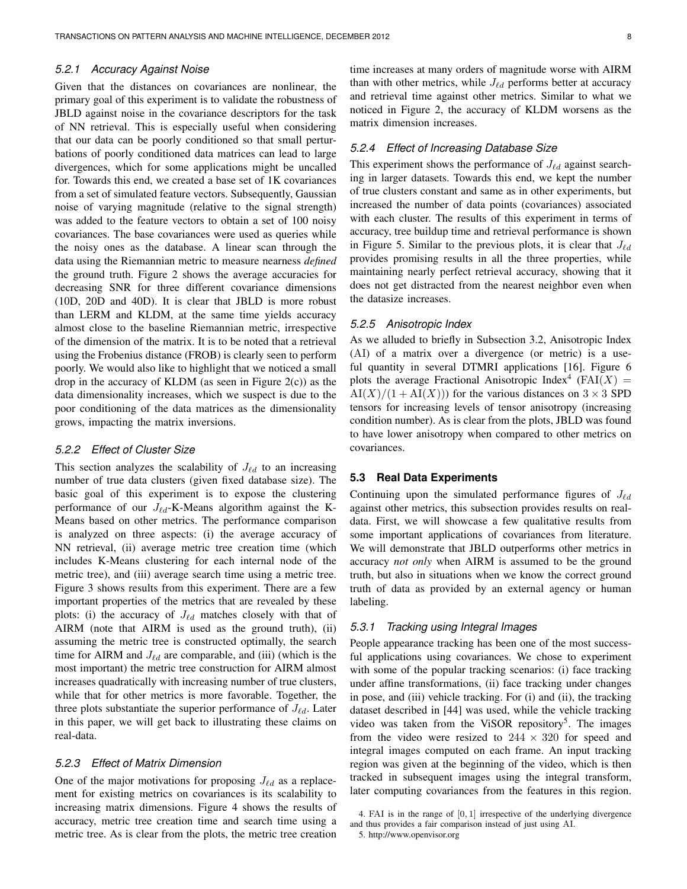#### 5.2.1 Accuracy Against Noise

Given that the distances on covariances are nonlinear, the primary goal of this experiment is to validate the robustness of JBLD against noise in the covariance descriptors for the task of NN retrieval. This is especially useful when considering that our data can be poorly conditioned so that small perturbations of poorly conditioned data matrices can lead to large divergences, which for some applications might be uncalled for. Towards this end, we created a base set of 1K covariances from a set of simulated feature vectors. Subsequently, Gaussian noise of varying magnitude (relative to the signal strength) was added to the feature vectors to obtain a set of 100 noisy covariances. The base covariances were used as queries while the noisy ones as the database. A linear scan through the data using the Riemannian metric to measure nearness *defined* the ground truth. Figure 2 shows the average accuracies for decreasing SNR for three different covariance dimensions (10D, 20D and 40D). It is clear that JBLD is more robust than LERM and KLDM, at the same time yields accuracy almost close to the baseline Riemannian metric, irrespective of the dimension of the matrix. It is to be noted that a retrieval using the Frobenius distance (FROB) is clearly seen to perform poorly. We would also like to highlight that we noticed a small drop in the accuracy of KLDM (as seen in Figure  $2(c)$ ) as the data dimensionality increases, which we suspect is due to the poor conditioning of the data matrices as the dimensionality grows, impacting the matrix inversions.

#### 5.2.2 Effect of Cluster Size

This section analyzes the scalability of  $J_{\ell d}$  to an increasing number of true data clusters (given fixed database size). The basic goal of this experiment is to expose the clustering performance of our  $J_{\ell d}$ -K-Means algorithm against the K-Means based on other metrics. The performance comparison is analyzed on three aspects: (i) the average accuracy of NN retrieval, (ii) average metric tree creation time (which includes K-Means clustering for each internal node of the metric tree), and (iii) average search time using a metric tree. Figure 3 shows results from this experiment. There are a few important properties of the metrics that are revealed by these plots: (i) the accuracy of  $J_{\ell d}$  matches closely with that of AIRM (note that AIRM is used as the ground truth), (ii) assuming the metric tree is constructed optimally, the search time for AIRM and  $J_{\ell d}$  are comparable, and (iii) (which is the most important) the metric tree construction for AIRM almost increases quadratically with increasing number of true clusters, while that for other metrics is more favorable. Together, the three plots substantiate the superior performance of  $J_{\ell d}$ . Later in this paper, we will get back to illustrating these claims on real-data.

#### 5.2.3 Effect of Matrix Dimension

One of the major motivations for proposing  $J_{\ell d}$  as a replacement for existing metrics on covariances is its scalability to increasing matrix dimensions. Figure 4 shows the results of accuracy, metric tree creation time and search time using a metric tree. As is clear from the plots, the metric tree creation time increases at many orders of magnitude worse with AIRM than with other metrics, while  $J_{\ell d}$  performs better at accuracy and retrieval time against other metrics. Similar to what we noticed in Figure 2, the accuracy of KLDM worsens as the matrix dimension increases.

#### 5.2.4 Effect of Increasing Database Size

This experiment shows the performance of  $J_{\ell d}$  against searching in larger datasets. Towards this end, we kept the number of true clusters constant and same as in other experiments, but increased the number of data points (covariances) associated with each cluster. The results of this experiment in terms of accuracy, tree buildup time and retrieval performance is shown in Figure 5. Similar to the previous plots, it is clear that  $J_{\ell d}$ provides promising results in all the three properties, while maintaining nearly perfect retrieval accuracy, showing that it does not get distracted from the nearest neighbor even when the datasize increases.

## 5.2.5 Anisotropic Index

As we alluded to briefly in Subsection 3.2, Anisotropic Index (AI) of a matrix over a divergence (or metric) is a useful quantity in several DTMRI applications [16]. Figure 6 plots the average Fractional Anisotropic Index<sup>4</sup> (FAI(X) =  $\text{AI}(X)/(1 + \text{AI}(X))$  for the various distances on  $3 \times 3$  SPD tensors for increasing levels of tensor anisotropy (increasing condition number). As is clear from the plots, JBLD was found to have lower anisotropy when compared to other metrics on covariances.

#### **5.3 Real Data Experiments**

Continuing upon the simulated performance figures of  $J_{\ell d}$ against other metrics, this subsection provides results on realdata. First, we will showcase a few qualitative results from some important applications of covariances from literature. We will demonstrate that JBLD outperforms other metrics in accuracy *not only* when AIRM is assumed to be the ground truth, but also in situations when we know the correct ground truth of data as provided by an external agency or human labeling.

## 5.3.1 Tracking using Integral Images

People appearance tracking has been one of the most successful applications using covariances. We chose to experiment with some of the popular tracking scenarios: (i) face tracking under affine transformations, (ii) face tracking under changes in pose, and (iii) vehicle tracking. For (i) and (ii), the tracking dataset described in [44] was used, while the vehicle tracking video was taken from the ViSOR repository<sup>5</sup>. The images from the video were resized to  $244 \times 320$  for speed and integral images computed on each frame. An input tracking region was given at the beginning of the video, which is then tracked in subsequent images using the integral transform, later computing covariances from the features in this region.

<sup>4.</sup> FAI is in the range of [0, 1] irrespective of the underlying divergence and thus provides a fair comparison instead of just using AI.

<sup>5.</sup> http://www.openvisor.org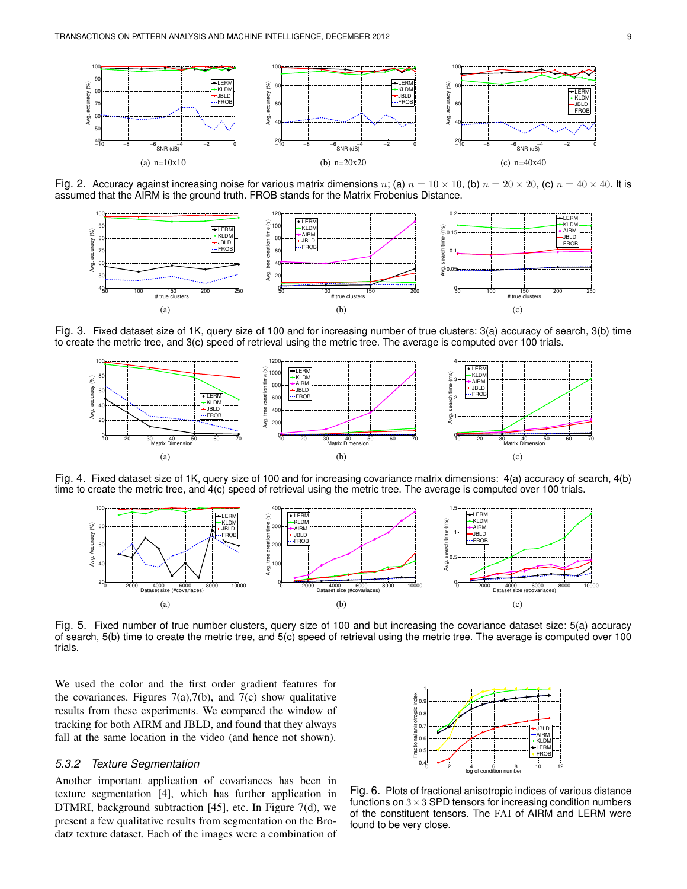

Fig. 2. Accuracy against increasing noise for various matrix dimensions n; (a)  $n = 10 \times 10$ , (b)  $n = 20 \times 20$ , (c)  $n = 40 \times 40$ . It is assumed that the AIRM is the ground truth. FROB stands for the Matrix Frobenius Distance.



Fig. 3. Fixed dataset size of 1K, query size of 100 and for increasing number of true clusters: 3(a) accuracy of search, 3(b) time to create the metric tree, and 3(c) speed of retrieval using the metric tree. The average is computed over 100 trials.



Fig. 4. Fixed dataset size of 1K, query size of 100 and for increasing covariance matrix dimensions: 4(a) accuracy of search, 4(b) time to create the metric tree, and 4(c) speed of retrieval using the metric tree. The average is computed over 100 trials.



Fig. 5. Fixed number of true number clusters, query size of 100 and but increasing the covariance dataset size: 5(a) accuracy of search, 5(b) time to create the metric tree, and 5(c) speed of retrieval using the metric tree. The average is computed over 100 trials.

We used the color and the first order gradient features for the covariances. Figures  $7(a)$ ,  $7(b)$ , and  $7(c)$  show qualitative results from these experiments. We compared the window of tracking for both AIRM and JBLD, and found that they always fall at the same location in the video (and hence not shown).

## 5.3.2 Texture Segmentation

Another important application of covariances has been in texture segmentation [4], which has further application in DTMRI, background subtraction [45], etc. In Figure 7(d), we present a few qualitative results from segmentation on the Brodatz texture dataset. Each of the images were a combination of



Fig. 6. Plots of fractional anisotropic indices of various distance functions on  $3 \times 3$  SPD tensors for increasing condition numbers of the constituent tensors. The FAI of AIRM and LERM were found to be very close.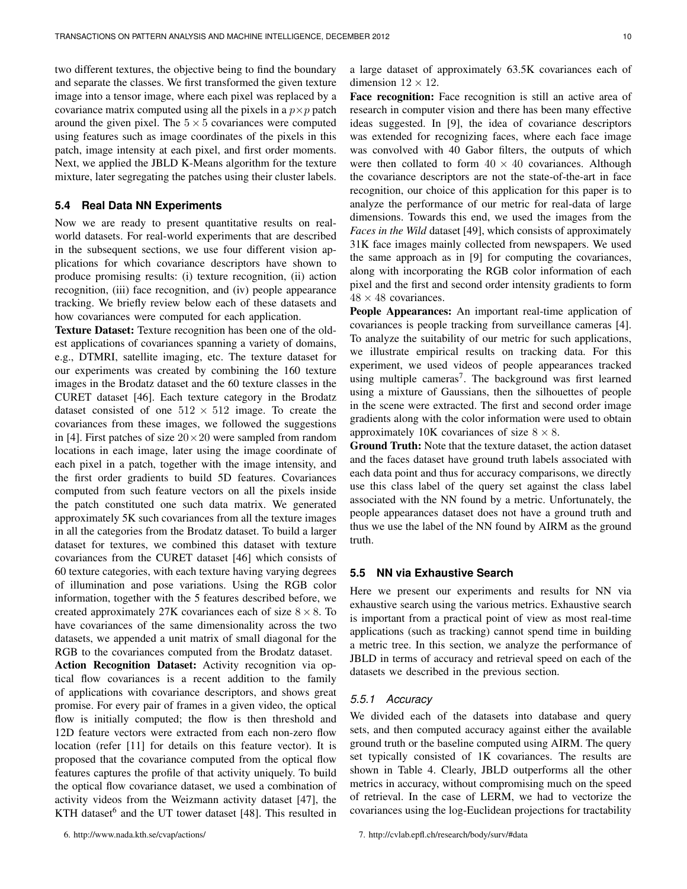covariance matrix computed using all the pixels in a  $p \times p$  patch around the given pixel. The  $5 \times 5$  covariances were computed using features such as image coordinates of the pixels in this patch, image intensity at each pixel, and first order moments. Next, we applied the JBLD K-Means algorithm for the texture mixture, later segregating the patches using their cluster labels.

#### **5.4 Real Data NN Experiments**

Now we are ready to present quantitative results on realworld datasets. For real-world experiments that are described in the subsequent sections, we use four different vision applications for which covariance descriptors have shown to produce promising results: (i) texture recognition, (ii) action recognition, (iii) face recognition, and (iv) people appearance tracking. We briefly review below each of these datasets and how covariances were computed for each application.

**Texture Dataset:** Texture recognition has been one of the oldest applications of covariances spanning a variety of domains, e.g., DTMRI, satellite imaging, etc. The texture dataset for our experiments was created by combining the 160 texture images in the Brodatz dataset and the 60 texture classes in the CURET dataset [46]. Each texture category in the Brodatz dataset consisted of one  $512 \times 512$  image. To create the covariances from these images, we followed the suggestions in [4]. First patches of size  $20 \times 20$  were sampled from random locations in each image, later using the image coordinate of each pixel in a patch, together with the image intensity, and the first order gradients to build 5D features. Covariances computed from such feature vectors on all the pixels inside the patch constituted one such data matrix. We generated approximately 5K such covariances from all the texture images in all the categories from the Brodatz dataset. To build a larger dataset for textures, we combined this dataset with texture covariances from the CURET dataset [46] which consists of 60 texture categories, with each texture having varying degrees of illumination and pose variations. Using the RGB color information, together with the 5 features described before, we created approximately 27K covariances each of size  $8 \times 8$ . To have covariances of the same dimensionality across the two datasets, we appended a unit matrix of small diagonal for the RGB to the covariances computed from the Brodatz dataset. **Action Recognition Dataset:** Activity recognition via optical flow covariances is a recent addition to the family of applications with covariance descriptors, and shows great promise. For every pair of frames in a given video, the optical flow is initially computed; the flow is then threshold and 12D feature vectors were extracted from each non-zero flow location (refer [11] for details on this feature vector). It is proposed that the covariance computed from the optical flow features captures the profile of that activity uniquely. To build the optical flow covariance dataset, we used a combination of activity videos from the Weizmann activity dataset [47], the KTH dataset<sup>6</sup> and the UT tower dataset [48]. This resulted in a large dataset of approximately 63.5K covariances each of dimension  $12 \times 12$ .

**Face recognition:** Face recognition is still an active area of research in computer vision and there has been many effective ideas suggested. In [9], the idea of covariance descriptors was extended for recognizing faces, where each face image was convolved with 40 Gabor filters, the outputs of which were then collated to form  $40 \times 40$  covariances. Although the covariance descriptors are not the state-of-the-art in face recognition, our choice of this application for this paper is to analyze the performance of our metric for real-data of large dimensions. Towards this end, we used the images from the *Faces in the Wild* dataset [49], which consists of approximately 31K face images mainly collected from newspapers. We used the same approach as in [9] for computing the covariances, along with incorporating the RGB color information of each pixel and the first and second order intensity gradients to form  $48 \times 48$  covariances.

**People Appearances:** An important real-time application of covariances is people tracking from surveillance cameras [4]. To analyze the suitability of our metric for such applications, we illustrate empirical results on tracking data. For this experiment, we used videos of people appearances tracked using multiple cameras<sup>7</sup>. The background was first learned using a mixture of Gaussians, then the silhouettes of people in the scene were extracted. The first and second order image gradients along with the color information were used to obtain approximately 10K covariances of size  $8 \times 8$ .

**Ground Truth:** Note that the texture dataset, the action dataset and the faces dataset have ground truth labels associated with each data point and thus for accuracy comparisons, we directly use this class label of the query set against the class label associated with the NN found by a metric. Unfortunately, the people appearances dataset does not have a ground truth and thus we use the label of the NN found by AIRM as the ground truth.

## **5.5 NN via Exhaustive Search**

Here we present our experiments and results for NN via exhaustive search using the various metrics. Exhaustive search is important from a practical point of view as most real-time applications (such as tracking) cannot spend time in building a metric tree. In this section, we analyze the performance of JBLD in terms of accuracy and retrieval speed on each of the datasets we described in the previous section.

## 5.5.1 Accuracy

We divided each of the datasets into database and query sets, and then computed accuracy against either the available ground truth or the baseline computed using AIRM. The query set typically consisted of 1K covariances. The results are shown in Table 4. Clearly, JBLD outperforms all the other metrics in accuracy, without compromising much on the speed of retrieval. In the case of LERM, we had to vectorize the covariances using the log-Euclidean projections for tractability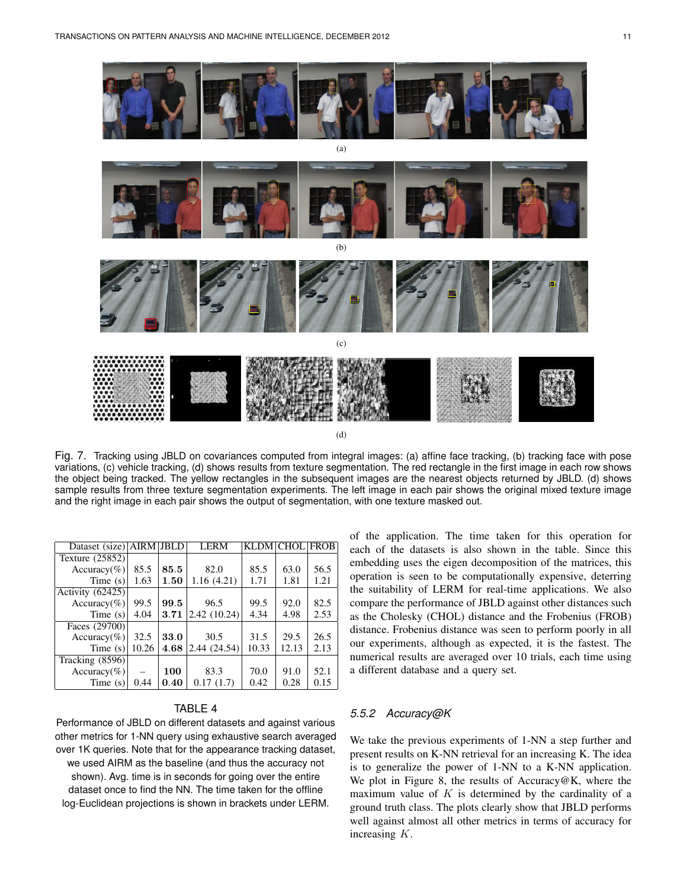

(d)

Fig. 7. Tracking using JBLD on covariances computed from integral images: (a) affine face tracking, (b) tracking face with pose variations, (c) vehicle tracking, (d) shows results from texture segmentation. The red rectangle in the first image in each row shows the object being tracked. The yellow rectangles in the subsequent images are the nearest objects returned by JBLD. (d) shows sample results from three texture segmentation experiments. The left image in each pair shows the original mixed texture image and the right image in each pair shows the output of segmentation, with one texture masked out.

| Dataset (size) AIRM JBLD |       |      | <b>LERM</b>  | <b>KLDM CHOL FROB</b> |       |      |
|--------------------------|-------|------|--------------|-----------------------|-------|------|
| Texture (25852)          |       |      |              |                       |       |      |
| $Accuracy(\%)$           | 85.5  | 85.5 | 82.0         | 85.5                  | 63.0  | 56.5 |
| Time $(s)$               | 1.63  | 1.50 | 1.16(4.21)   | 1.71                  | 1.81  | 1.21 |
| Activity (62425)         |       |      |              |                       |       |      |
| $Accuracy(\%)$           | 99.5  | 99.5 | 96.5         | 99.5                  | 92.0  | 82.5 |
| Time $(s)$               | 4.04  | 3.71 | 2.42(10.24)  | 4.34                  | 4.98  | 2.53 |
| Faces (29700)            |       |      |              |                       |       |      |
| $Accuracy(\%)$           | 32.5  | 33.0 | 30.5         | 31.5                  | 29.5  | 26.5 |
| Time $(s)$               | 10.26 | 4.68 | 2.44 (24.54) | 10.33                 | 12.13 | 2.13 |
| Tracking $(8596)$        |       |      |              |                       |       |      |
| $Accuracy(\%)$           |       | 100  | 83.3         | 70.0                  | 91.0  | 52.1 |
| Time $(s)$               | 0.44  | 0.40 | 0.17(1.7)    | 0.42                  | 0.28  | 0.15 |

## TABLE 4

Performance of JBLD on different datasets and against various other metrics for 1-NN query using exhaustive search averaged over 1K queries. Note that for the appearance tracking dataset, we used AIRM as the baseline (and thus the accuracy not shown). Avg. time is in seconds for going over the entire dataset once to find the NN. The time taken for the offline log-Euclidean projections is shown in brackets under LERM.

of the application. The time taken for this operation for each of the datasets is also shown in the table. Since this embedding uses the eigen decomposition of the matrices, this operation is seen to be computationally expensive, deterring the suitability of LERM for real-time applications. We also compare the performance of JBLD against other distances such as the Cholesky (CHOL) distance and the Frobenius (FROB) distance. Frobenius distance was seen to perform poorly in all our experiments, although as expected, it is the fastest. The numerical results are averaged over 10 trials, each time using a different database and a query set.

#### 5.5.2 Accuracy@K

We take the previous experiments of 1-NN a step further and present results on K-NN retrieval for an increasing K. The idea is to generalize the power of 1-NN to a K-NN application. We plot in Figure 8, the results of Accuracy@K, where the maximum value of  $K$  is determined by the cardinality of a ground truth class. The plots clearly show that JBLD performs well against almost all other metrics in terms of accuracy for increasing K.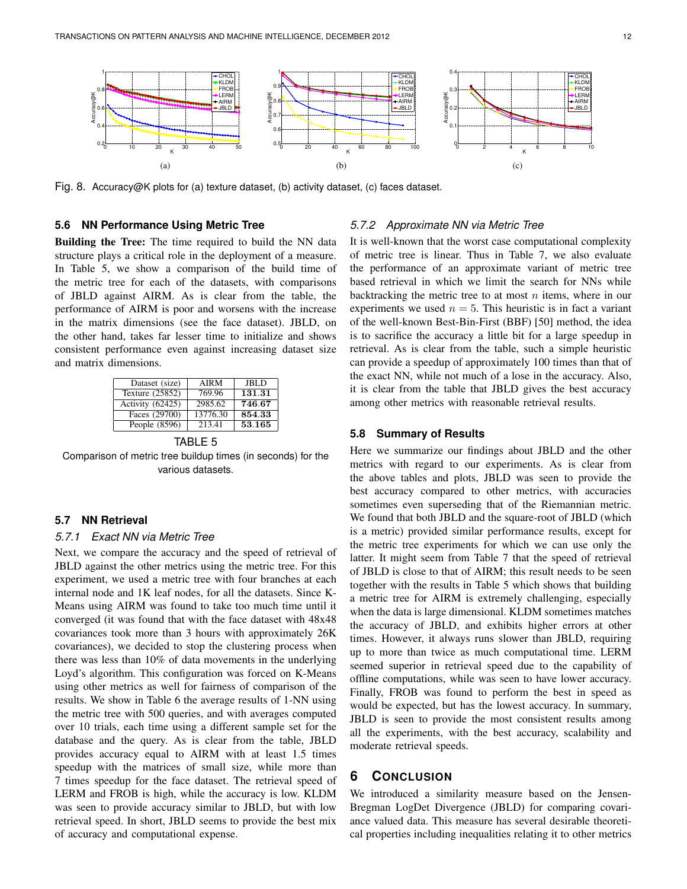

Fig. 8. Accuracy@K plots for (a) texture dataset, (b) activity dataset, (c) faces dataset.

#### **5.6 NN Performance Using Metric Tree**

**Building the Tree:** The time required to build the NN data structure plays a critical role in the deployment of a measure. In Table 5, we show a comparison of the build time of the metric tree for each of the datasets, with comparisons of JBLD against AIRM. As is clear from the table, the performance of AIRM is poor and worsens with the increase in the matrix dimensions (see the face dataset). JBLD, on the other hand, takes far lesser time to initialize and shows consistent performance even against increasing dataset size and matrix dimensions.

| Dataset (size)   | <b>AIRM</b> | <b>JBLD</b> |
|------------------|-------------|-------------|
| Texture (25852)  | 769.96      | 131.31      |
| Activity (62425) | 2985.62     | 746.67      |
| Faces (29700)    | 13776.30    | 854.33      |
| People (8596)    | 213.41      | 53.165      |

TABLE 5 Comparison of metric tree buildup times (in seconds) for the various datasets.

#### **5.7 NN Retrieval**

# 5.7.1 Exact NN via Metric Tree

Next, we compare the accuracy and the speed of retrieval of JBLD against the other metrics using the metric tree. For this experiment, we used a metric tree with four branches at each internal node and 1K leaf nodes, for all the datasets. Since K-Means using AIRM was found to take too much time until it converged (it was found that with the face dataset with 48x48 covariances took more than 3 hours with approximately 26K covariances), we decided to stop the clustering process when there was less than 10% of data movements in the underlying Loyd's algorithm. This configuration was forced on K-Means using other metrics as well for fairness of comparison of the results. We show in Table 6 the average results of 1-NN using the metric tree with 500 queries, and with averages computed over 10 trials, each time using a different sample set for the database and the query. As is clear from the table, JBLD provides accuracy equal to AIRM with at least 1.5 times speedup with the matrices of small size, while more than 7 times speedup for the face dataset. The retrieval speed of LERM and FROB is high, while the accuracy is low. KLDM was seen to provide accuracy similar to JBLD, but with low retrieval speed. In short, JBLD seems to provide the best mix of accuracy and computational expense.

#### 5.7.2 Approximate NN via Metric Tree

It is well-known that the worst case computational complexity of metric tree is linear. Thus in Table 7, we also evaluate the performance of an approximate variant of metric tree based retrieval in which we limit the search for NNs while backtracking the metric tree to at most  $n$  items, where in our experiments we used  $n = 5$ . This heuristic is in fact a variant of the well-known Best-Bin-First (BBF) [50] method, the idea is to sacrifice the accuracy a little bit for a large speedup in retrieval. As is clear from the table, such a simple heuristic can provide a speedup of approximately 100 times than that of the exact NN, while not much of a lose in the accuracy. Also, it is clear from the table that JBLD gives the best accuracy among other metrics with reasonable retrieval results.

#### **5.8 Summary of Results**

Here we summarize our findings about JBLD and the other metrics with regard to our experiments. As is clear from the above tables and plots, JBLD was seen to provide the best accuracy compared to other metrics, with accuracies sometimes even superseding that of the Riemannian metric. We found that both JBLD and the square-root of JBLD (which is a metric) provided similar performance results, except for the metric tree experiments for which we can use only the latter. It might seem from Table 7 that the speed of retrieval of JBLD is close to that of AIRM; this result needs to be seen together with the results in Table 5 which shows that building a metric tree for AIRM is extremely challenging, especially when the data is large dimensional. KLDM sometimes matches the accuracy of JBLD, and exhibits higher errors at other times. However, it always runs slower than JBLD, requiring up to more than twice as much computational time. LERM seemed superior in retrieval speed due to the capability of offline computations, while was seen to have lower accuracy. Finally, FROB was found to perform the best in speed as would be expected, but has the lowest accuracy. In summary, JBLD is seen to provide the most consistent results among all the experiments, with the best accuracy, scalability and moderate retrieval speeds.

# **6 CONCLUSION**

We introduced a similarity measure based on the Jensen-Bregman LogDet Divergence (JBLD) for comparing covariance valued data. This measure has several desirable theoretical properties including inequalities relating it to other metrics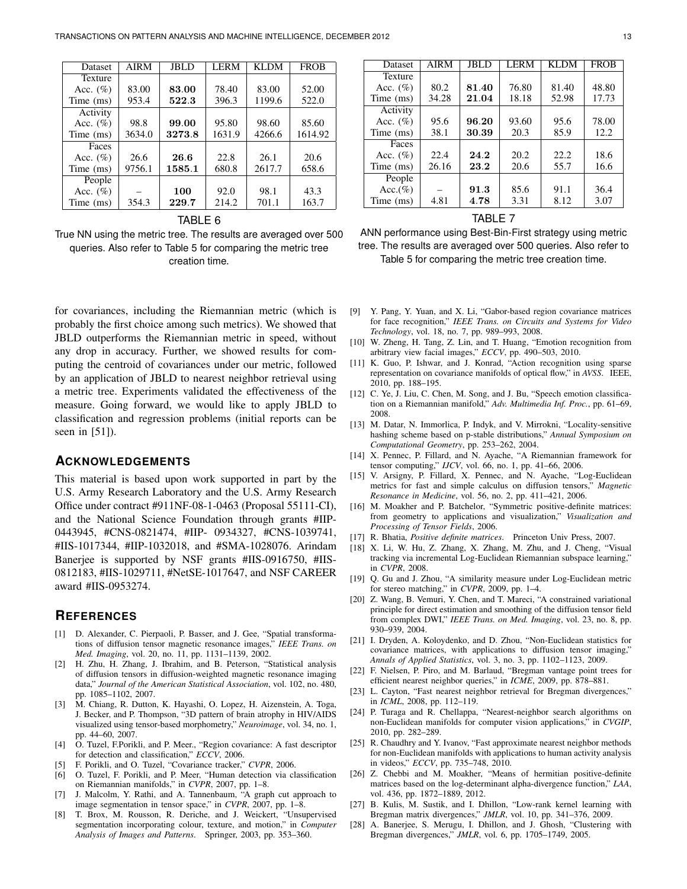| Dataset        | <b>AIRM</b> | <b>JBLD</b> | <b>LERM</b> | <b>KLDM</b> | <b>FROB</b> |
|----------------|-------------|-------------|-------------|-------------|-------------|
| <b>Texture</b> |             |             |             |             |             |
| Acc. $(\%)$    | 83.00       | 83.00       | 78.40       | 83.00       | 52.00       |
| Time (ms)      | 953.4       | 522.3       | 396.3       | 1199.6      | 522.0       |
| Activity       |             |             |             |             |             |
| Acc. $(\%)$    | 98.8        | 99.00       | 95.80       | 98.60       | 85.60       |
| Time (ms)      | 3634.0      | 3273.8      | 1631.9      | 4266.6      | 1614.92     |
| Faces          |             |             |             |             |             |
| Acc. $(\%)$    | 26.6        | 26.6        | 22.8        | 26.1        | 20.6        |
| Time (ms)      | 9756.1      | 1585.1      | 680.8       | 2617.7      | 658.6       |
| People         |             |             |             |             |             |
| Acc. $(\%)$    |             | 100         | 92.0        | 98.1        | 43.3        |
| Time (ms)      | 354.3       | 229.7       | 214.2       | 701.1       | 163.7       |

TABLE 6

True NN using the metric tree. The results are averaged over 500 queries. Also refer to Table 5 for comparing the metric tree creation time.

for covariances, including the Riemannian metric (which is probably the first choice among such metrics). We showed that JBLD outperforms the Riemannian metric in speed, without any drop in accuracy. Further, we showed results for computing the centroid of covariances under our metric, followed by an application of JBLD to nearest neighbor retrieval using a metric tree. Experiments validated the effectiveness of the measure. Going forward, we would like to apply JBLD to classification and regression problems (initial reports can be seen in [51]).

## **ACKNOWLEDGEMENTS**

This material is based upon work supported in part by the U.S. Army Research Laboratory and the U.S. Army Research Office under contract #911NF-08-1-0463 (Proposal 55111-CI), and the National Science Foundation through grants #IIP-0443945, #CNS-0821474, #IIP- 0934327, #CNS-1039741, #IIS-1017344, #IIP-1032018, and #SMA-1028076. Arindam Banerjee is supported by NSF grants #IIS-0916750, #IIS-0812183, #IIS-1029711, #NetSE-1017647, and NSF CAREER award #IIS-0953274.

# **REFERENCES**

- [1] D. Alexander, C. Pierpaoli, P. Basser, and J. Gee, "Spatial transformations of diffusion tensor magnetic resonance images," *IEEE Trans. on Med. Imaging*, vol. 20, no. 11, pp. 1131–1139, 2002.
- [2] H. Zhu, H. Zhang, J. Ibrahim, and B. Peterson, "Statistical analysis of diffusion tensors in diffusion-weighted magnetic resonance imaging data," *Journal of the American Statistical Association*, vol. 102, no. 480, pp. 1085–1102, 2007.
- [3] M. Chiang, R. Dutton, K. Hayashi, O. Lopez, H. Aizenstein, A. Toga, J. Becker, and P. Thompson, "3D pattern of brain atrophy in HIV/AIDS visualized using tensor-based morphometry," *Neuroimage*, vol. 34, no. 1, pp. 44–60, 2007.
- [4] O. Tuzel, F.Porikli, and P. Meer., "Region covariance: A fast descriptor for detection and classification," *ECCV*, 2006.
- [5] F. Porikli, and O. Tuzel, "Covariance tracker," *CVPR*, 2006.
- [6] O. Tuzel, F. Porikli, and P. Meer, "Human detection via classification on Riemannian manifolds," in *CVPR*, 2007, pp. 1–8.
- [7] J. Malcolm, Y. Rathi, and A. Tannenbaum, "A graph cut approach to image segmentation in tensor space," in *CVPR*, 2007, pp. 1–8.
- T. Brox, M. Rousson, R. Deriche, and J. Weickert, "Unsupervised segmentation incorporating colour, texture, and motion," in *Computer Analysis of Images and Patterns*. Springer, 2003, pp. 353–360.

| Dataset     | <b>AIRM</b> | JBLD  | LERM  | <b>KLDM</b> | <b>FROB</b> |
|-------------|-------------|-------|-------|-------------|-------------|
| Texture     |             |       |       |             |             |
| Acc. $(\%)$ | 80.2        | 81.40 | 76.80 | 81.40       | 48.80       |
| Time (ms)   | 34.28       | 21.04 | 18.18 | 52.98       | 17.73       |
| Activity    |             |       |       |             |             |
| Acc. $(\%)$ | 95.6        | 96.20 | 93.60 | 95.6        | 78.00       |
| Time (ms)   | 38.1        | 30.39 | 20.3  | 85.9        | 12.2        |
| Faces       |             |       |       |             |             |
| Acc. $(\%)$ | 22.4        | 24.2  | 20.2  | 22.2        | 18.6        |
| Time (ms)   | 26.16       | 23.2  | 20.6  | 55.7        | 16.6        |
| People      |             |       |       |             |             |
| $Acc.(\%)$  |             | 91.3  | 85.6  | 91.1        | 36.4        |
| Time (ms)   | 4.81        | 4.78  | 3.31  | 8.12        | 3.07        |
|             |             |       |       |             |             |

TABLE 7

| ANN performance using Best-Bin-First strategy using metric     |
|----------------------------------------------------------------|
| tree. The results are averaged over 500 queries. Also refer to |
| Table 5 for comparing the metric tree creation time.           |

- [9] Y. Pang, Y. Yuan, and X. Li, "Gabor-based region covariance matrices for face recognition," *IEEE Trans. on Circuits and Systems for Video Technology*, vol. 18, no. 7, pp. 989–993, 2008.
- [10] W. Zheng, H. Tang, Z. Lin, and T. Huang, "Emotion recognition from arbitrary view facial images," *ECCV*, pp. 490–503, 2010.
- [11] K. Guo, P. Ishwar, and J. Konrad, "Action recognition using sparse representation on covariance manifolds of optical flow," in *AVSS*. IEEE, 2010, pp. 188–195.
- [12] C. Ye, J. Liu, C. Chen, M. Song, and J. Bu, "Speech emotion classification on a Riemannian manifold," *Adv. Multimedia Inf. Proc.*, pp. 61–69, 2008.
- [13] M. Datar, N. Immorlica, P. Indyk, and V. Mirrokni, "Locality-sensitive hashing scheme based on p-stable distributions," *Annual Symposium on Computational Geometry*, pp. 253–262, 2004.
- [14] X. Pennec, P. Fillard, and N. Ayache, "A Riemannian framework for tensor computing," *IJCV*, vol. 66, no. 1, pp. 41–66, 2006.
- [15] V. Arsigny, P. Fillard, X. Pennec, and N. Ayache, "Log-Euclidean metrics for fast and simple calculus on diffusion tensors," *Magnetic Resonance in Medicine*, vol. 56, no. 2, pp. 411–421, 2006.
- [16] M. Moakher and P. Batchelor, "Symmetric positive-definite matrices: from geometry to applications and visualization," *Visualization and Processing of Tensor Fields*, 2006.
- [17] R. Bhatia, *Positive definite matrices*. Princeton Univ Press, 2007.
- [18] X. Li, W. Hu, Z. Zhang, X. Zhang, M. Zhu, and J. Cheng, "Visual tracking via incremental Log-Euclidean Riemannian subspace learning," in *CVPR*, 2008.
- [19] Q. Gu and J. Zhou, "A similarity measure under Log-Euclidean metric for stereo matching," in *CVPR*, 2009, pp. 1–4.
- [20] Z. Wang, B. Vemuri, Y. Chen, and T. Mareci, "A constrained variational principle for direct estimation and smoothing of the diffusion tensor field from complex DWI," *IEEE Trans. on Med. Imaging*, vol. 23, no. 8, pp. 930–939, 2004.
- [21] I. Dryden, A. Koloydenko, and D. Zhou, "Non-Euclidean statistics for covariance matrices, with applications to diffusion tensor imaging," *Annals of Applied Statistics*, vol. 3, no. 3, pp. 1102–1123, 2009.
- [22] F. Nielsen, P. Piro, and M. Barlaud, "Bregman vantage point trees for efficient nearest neighbor queries," in *ICME*, 2009, pp. 878–881.
- [23] L. Cayton, "Fast nearest neighbor retrieval for Bregman divergences," in *ICML*, 2008, pp. 112–119.
- [24] P. Turaga and R. Chellappa, "Nearest-neighbor search algorithms on non-Euclidean manifolds for computer vision applications," in *CVGIP*, 2010, pp. 282–289.
- [25] R. Chaudhry and Y. Ivanov, "Fast approximate nearest neighbor methods for non-Euclidean manifolds with applications to human activity analysis in videos," *ECCV*, pp. 735–748, 2010.
- [26] Z. Chebbi and M. Moakher, "Means of hermitian positive-definite matrices based on the log-determinant alpha-divergence function," *LAA*, vol. 436, pp. 1872–1889, 2012.
- [27] B. Kulis, M. Sustik, and I. Dhillon, "Low-rank kernel learning with Bregman matrix divergences," *JMLR*, vol. 10, pp. 341–376, 2009.
- [28] A. Banerjee, S. Merugu, I. Dhillon, and J. Ghosh, "Clustering with Bregman divergences," *JMLR*, vol. 6, pp. 1705–1749, 2005.